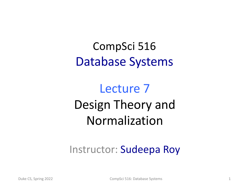#### CompSci 516 Database Systems

## Lecture 7 Design Theory and Normalization

#### Instructor: Sudeepa Roy

Duke CS, Spring 2022 **CompSci 516: Database Systems** 1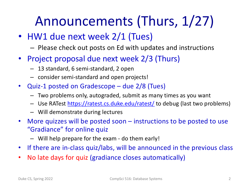# Announcements (Thurs, 1/27)

- HW1 due next week 2/1 (Tues)
	- Please check out posts on Ed with updates and instructions
- Project proposal due next week 2/3 (Thurs)
	- 13 standard, 6 semi-standard, 2 open
	- consider semi-standard and open projects!
- Quiz-1 posted on Gradescope due 2/8 (Tues)
	- Two problems only, autograded, submit as many times as you want
	- Use RATest [https://ratest.cs.duke.edu/ratest](https://ratest.cs.duke.edu/ratest/)/ to debug (last two problems)
	- Will demonstrate during lectures
- More quizzes will be posted soon instructions to be posted to use "Gradiance" for online quiz
	- Will help prepare for the exam do them early!
- If there are in-class quiz/labs, will be announced in the previous class
- No late days for quiz (gradiance closes automatically)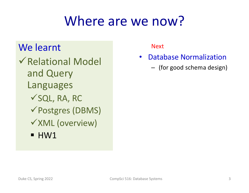# Where are we now?

#### We learnt

 $\sqrt{\mathsf{Relational\;Model}}$ and Query Languages  $\checkmark$ SQL, RA, RC  $\checkmark$  Postgres (DBMS)  $\checkmark$ XML (overview)  $\blacksquare$  HW1

Next

- Database Normalization
	- (for good schema design)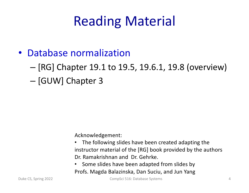# Reading Material

- Database normalization
	- [RG] Chapter 19.1 to 19.5, 19.6.1, 19.8 (overview)
	- [GUW] Chapter 3

Acknowledgement:

- The following slides have been created adapting the instructor material of the [RG] book provided by the authors Dr. Ramakrishnan and Dr. Gehrke.
- Some slides have been adapted from slides by Profs. Magda Balazinska, Dan Suciu, and Jun Yang

Duke CS, Spring 2022 CompSci 516: Database Systems 4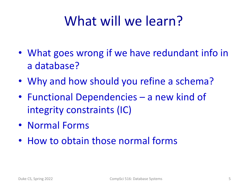# What will we learn?

- What goes wrong if we have redundant info in a database?
- Why and how should you refine a schema?
- Functional Dependencies a new kind of integrity constraints (IC)
- Normal Forms
- How to obtain those normal forms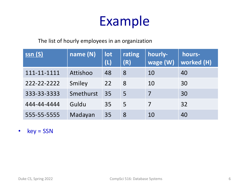# Example

The list of hourly employees in an organization

| ssn(S)      | name (N)  | lot<br>(L) | rating<br>(R) | hourly-<br>wage (W) | hours-<br>worked (H) |
|-------------|-----------|------------|---------------|---------------------|----------------------|
| 111-11-1111 | Attishoo  | 48         | -8            | 10                  | 40                   |
| 222-22-2222 | Smiley    | 22         | 8             | 10                  | 30                   |
| 333-33-3333 | Smethurst | 35         | 5             | 7                   | 30                   |
| 444-44-4444 | Guldu     | 35         | 5             | 7                   | 32                   |
| 555-55-5555 | Madayan   | 35         | 8             | 10                  | 40                   |

• key = SSN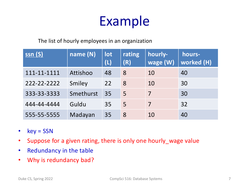# Example

The list of hourly employees in an organization

| <u>ssn (S)</u> | name (N)  | lot<br>(L) | rating<br>(R) | hourly-<br>wage (W) | hours-<br><b>worked (H)</b> |
|----------------|-----------|------------|---------------|---------------------|-----------------------------|
| 111-11-1111    | Attishoo  | 48         | 8             | 10                  | 40                          |
| 222-22-2222    | Smiley    | 22         | 8             | 10                  | 30                          |
| 333-33-3333    | Smethurst | 35         | 5             | 7                   | 30                          |
| 444-44-4444    | Guldu     | 35         | 5             | 7                   | 32                          |
| 555-55-5555    | Madayan   | 35         | 8             | 10                  | 40                          |

- key = SSN
- Suppose for a given rating, there is only one hourly\_wage value
- Redundancy in the table
- Why is redundancy bad?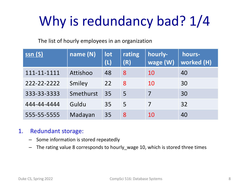# Why is redundancy bad?  $1/4$

The list of hourly employees in an organization

| <u>ssn (S)</u> | name (N)  | lot<br>(L) | rating<br>(R) | hourly-<br>wage (W) | hours-<br>worked (H) |
|----------------|-----------|------------|---------------|---------------------|----------------------|
| 111-11-1111    | Attishoo  | 48         | 8             | 10                  | 40                   |
| 222-22-2222    | Smiley    | 22         | 8             | 10                  | 30                   |
| 333-33-3333    | Smethurst | 35         | 5             | 7                   | 30                   |
| 444-44-4444    | Guldu     | 35         | 5             | 7                   | 32                   |
| 555-55-5555    | Madayan   | 35         | 8             | 10                  | 40                   |

#### 1. Redundant storage:

- Some information is stored repeatedly
- The rating value 8 corresponds to hourly\_wage 10, which is stored three times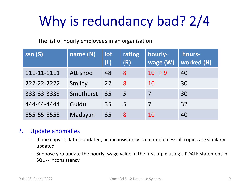# Why is redundancy bad? 2/4

The list of hourly employees in an organization

| <u>ssn (S)</u> | name (N)  | lot<br>(L) | rating<br>(R) | hourly-<br>wage (W) | hours-<br><b>worked (H)</b> |
|----------------|-----------|------------|---------------|---------------------|-----------------------------|
| 111-11-1111    | Attishoo  | 48         | 8             | $10 \rightarrow 9$  | 40                          |
| 222-22-2222    | Smiley    | 22         | 8             | 10                  | 30                          |
| 333-33-3333    | Smethurst | 35         | 5             | 7                   | 30                          |
| 444-44-4444    | Guldu     | 35         | 5             | 7                   | 32                          |
| 555-55-5555    | Madayan   | 35         | 8             | 10                  | 40                          |

#### 2. Update anomalies

- If one copy of data is updated, an inconsistency is created unless all copies are similarly updated
- Suppose you update the hourly\_wage value in the first tuple using UPDATE statement in SQL -- inconsistency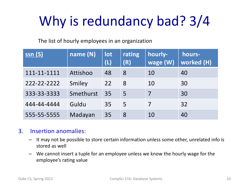# Why is redundancy bad? 3/4

The list of hourly employees in an organization

| <u>ssn (S)</u> | name (N)  | lot<br>(L) | rating<br>(R) | hourly-<br>wage (W) | hours-<br><b>worked (H)</b> |
|----------------|-----------|------------|---------------|---------------------|-----------------------------|
| 111-11-1111    | Attishoo  | 48         | 8             | 10                  | 40                          |
| 222-22-2222    | Smiley    | 22         | 8             | 10                  | 30                          |
| 333-33-3333    | Smethurst | 35         | 5             | 7                   | 30                          |
| 444-44-4444    | Guldu     | 35         | 5             | 7                   | 32                          |
| 555-55-5555    | Madayan   | 35         | 8             | 10                  | 40                          |

#### 3. Insertion anomalies:

- It may not be possible to store certain information unless some other, unrelated info is stored as well
- We cannot insert a tuple for an employee unless we know the hourly wage for the employee's rating value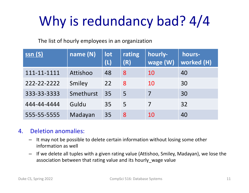# Why is redundancy bad? 4/4

The list of hourly employees in an organization

| <u>ssn (S)</u> | name (N)  | lot<br>(L) | rating<br>(R) | hourly-<br>wage (W) | hours-<br><b>worked (H)</b> |
|----------------|-----------|------------|---------------|---------------------|-----------------------------|
| 111-11-1111    | Attishoo  | 48         | 8             | 10                  | 40                          |
| 222-22-2222    | Smiley    | 22         | 8             | 10                  | 30                          |
| 333-33-3333    | Smethurst | 35         | 5             | 7                   | 30                          |
| 444-44-4444    | Guldu     | 35         | 5             | 7                   | 32                          |
| 555-55-5555    | Madayan   | 35         | 8             | 10                  | 40                          |

#### 4. Deletion anomalies:

- It may not be possible to delete certain information without losing some other information as well
- If we delete all tuples with a given rating value (Attishoo, Smiley, Madayan), we lose the association between that rating value and its hourly wage value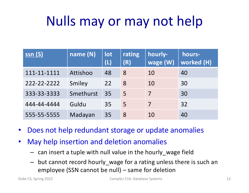# Nulls may or may not help

| <u>ssn (S)</u> | name (N)  | lot<br>(L) | rating<br>(R) | hourly-<br>wage (W) | hours-<br>worked (H) |
|----------------|-----------|------------|---------------|---------------------|----------------------|
| 111-11-1111    | Attishoo  | 48         | 8             | 10                  | 40                   |
| 222-22-2222    | Smiley    | 22         | 8             | 10                  | 30                   |
| 333-33-3333    | Smethurst | 35         | 5             | 7                   | 30                   |
| 444-44-4444    | Guldu     | 35         | 5             | 7                   | 32                   |
| 555-55-5555    | Madayan   | 35         | 8             | 10                  | 40                   |

- Does not help redundant storage or update anomalies
- May help insertion and deletion anomalies
	- can insert a tuple with null value in the hourly\_wage field
	- but cannot record hourly\_wage for a rating unless there is such an employee (SSN cannot be null) – same for deletion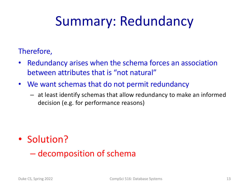# Summary: Redundancy

#### Therefore,

- Redundancy arises when the schema forces an association between attributes that is "not natural"
- We want schemas that do not permit redundancy
	- at least identify schemas that allow redundancy to make an informed decision (e.g. for performance reasons)

• Solution?

– decomposition of schema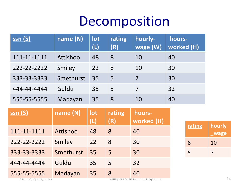### Decomposition

| <u>ssn (S)</u>                                      | name (N)  | lot<br>(L) | rating<br>(R) | hourly-<br>wage (W) | hours-<br>worked (H) |        |                |
|-----------------------------------------------------|-----------|------------|---------------|---------------------|----------------------|--------|----------------|
| 111-11-1111                                         | Attishoo  | 48         | 8             | 10                  | 40                   |        |                |
| 222-22-2222                                         | Smiley    | 22         | 8             | 10                  | 30                   |        |                |
| 333-33-3333                                         | Smethurst | 35         | 5             | $\overline{7}$      | 30                   |        |                |
| 444-44-4444                                         | Guldu     | 35         | 5             | $\overline{7}$      | 32                   |        |                |
| 555-55-5555                                         | Madayan   | 35         | 8             | 10                  | 40                   |        |                |
|                                                     |           |            |               |                     |                      |        |                |
| $\overline{\mathsf{ssn}}$ $\overline{\mathsf{(S)}}$ | name (N)  | lot        | rating        | hours-              |                      |        |                |
|                                                     |           | (L)        | (R)           | worked (H)          |                      | rating | hourly         |
| 111-11-1111                                         | Attishoo  | 48         | 8             | 40                  |                      |        | <b>wage</b>    |
| 222-22-2222                                         | Smiley    | 22         | 8             | 30                  |                      | 8      | 10             |
| 333-33-3333                                         | Smethurst | 35         | 5             | 30                  |                      | 5      | $\overline{7}$ |
| 444-44-4444                                         | Guldu     | 35         | 5             | 32                  |                      |        |                |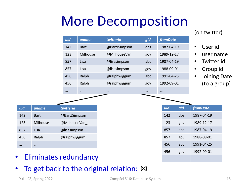# More Decomposition



- Eliminates redundancy
- To get back to the original relation: ⊠

… … …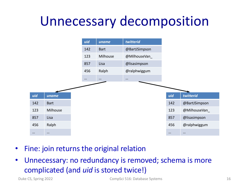# Unnecessary decomposition



- Fine: join returns the original relation
- Unnecessary: no redundancy is removed; schema is more complicated (and *uid* is stored twice!)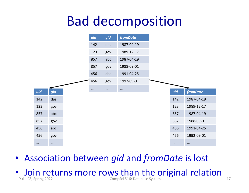## Bad decomposition



- Association between *gid* and *fromDate* is lost
- $\bullet$  Join returns more rows than the original relation  $\frac{1}{2}$ CompSci 516: Database Systems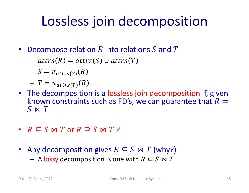# Lossless join decomposition

- Decompose relation R into relations S and T
	- $$attrs(R) = attrs(S) \cup attrs(T)$$

$$
- S = \pi_{\text{attrs}(S)}(R)
$$

$$
-T = \pi_{\text{attrs}(T)}(R)
$$

- The decomposition is a lossless join decomposition if, given known constraints such as FD's, we can guarantee that  $R =$  $S \bowtie T$
- $R \subseteq S \bowtie T$  or  $R \supseteq S \bowtie T$ ?
- Any decomposition gives  $R \subseteq S \bowtie T$  (why?)
	- $-$  A lossy decomposition is one with  $R \subset S \bowtie T$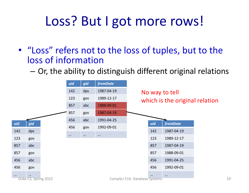# Loss? But I got more rows!

- "Loss" refers not to the loss of tuples, but to the loss of information
	- Or, the ability to distinguish different original relations

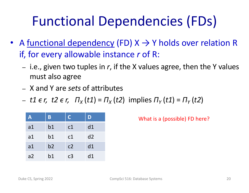# Functional Dependencies (FDs)

- A functional dependency (FD)  $X \rightarrow Y$  holds over relation R if, for every allowable instance *r* of R:
	- i.e., given two tuples in *r*, if the X values agree, then the Y values must also agree
	- X and Y are *sets* of attributes
	- $t1 \epsilon r$ ,  $t2 \epsilon r$ ,  $\pi_{x}(t1) = \pi_{x}(t2)$  implies  $\pi_{y}(t1) = \pi_{y}(t2)$

| Α  | B  | C              | D  |
|----|----|----------------|----|
| a1 | b1 | c1             | d1 |
| a1 | b1 | c1             | d2 |
| a1 | b2 | c <sub>2</sub> | d1 |
| a2 | b1 | c <sub>3</sub> | d1 |

What is a (possible) FD here?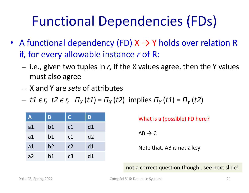# Functional Dependencies (FDs)

- A functional dependency (FD)  $X \rightarrow Y$  holds over relation R if, for every allowable instance *r* of R:
	- i.e., given two tuples in *r*, if the X values agree, then the Y values must also agree
	- X and Y are *sets* of attributes
	- $t1 \epsilon r$ ,  $t2 \epsilon r$ ,  $\pi_{x}(t1) = \pi_{x}(t2)$  implies  $\pi_{y}(t1) = \pi_{y}(t2)$

| A  | B  | $\overline{C}$ | D  |
|----|----|----------------|----|
| a1 | b1 | c1             | d1 |
| a1 | b1 | c1             | d2 |
| a1 | b2 | c <sub>2</sub> | d1 |
| a2 | b1 | c <sub>3</sub> | d1 |

What is a (possible) FD here?  $AB \rightarrow C$ 

Note that, AB is not a key

not a correct question though.. see next slide!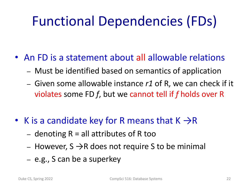# Functional Dependencies (FDs)

- An FD is a statement about all allowable relations
	- Must be identified based on semantics of application
	- Given some allowable instance *r1* of R, we can check if it violates some FD *f*, but we cannot tell if *f* holds over R
- K is a candidate key for R means that  $K \rightarrow R$ 
	- denoting  $R =$  all attributes of R too
	- However,  $S \rightarrow R$  does not require S to be minimal
	- e.g., S can be a superkey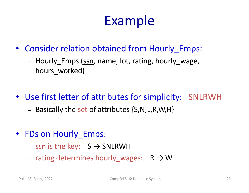# Example

- Consider relation obtained from Hourly Emps:
	- Hourly Emps (ssn, name, lot, rating, hourly wage, hours worked)
- Use first letter of attributes for simplicity: SNLRWH
	- $-$  Basically the set of attributes  $\{S, N, L, R, W, H\}$
- FDs on Hourly Emps:
	- ssn is the key:  $S \rightarrow SNLRWH$
	- rating determines hourly\_wages:  $R \rightarrow W$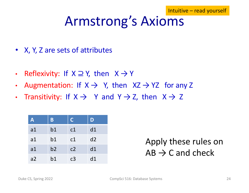### Armstrong's Axioms

- X, Y, Z are sets of attributes
- Reflexivity: If  $X \supseteq Y$ , then  $X \rightarrow Y$
- Augmentation: If  $X \rightarrow Y$ , then  $XZ \rightarrow YZ$  for any Z
- Transitivity: If  $X \rightarrow Y$  and  $Y \rightarrow Z$ , then  $X \rightarrow Z$

| A  | B  | $\mathsf{C}$ | D  |
|----|----|--------------|----|
| a1 | b1 | c1           | d1 |
| a1 | b1 | c1           | d2 |
| a1 | b2 | c2           | d1 |
| a2 | b1 | c3           | d1 |

Apply these rules on  $AB \rightarrow C$  and check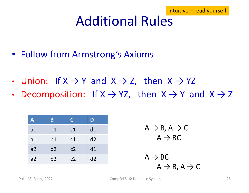## Additional Rules

- Follow from Armstrong's Axioms
- Union: If  $X \rightarrow Y$  and  $X \rightarrow Z$ , then  $X \rightarrow YZ$
- Decomposition: If  $X \rightarrow YZ$ , then  $X \rightarrow Y$  and  $X \rightarrow Z$

| A              | B  | $\mathsf{C}$   | D  |
|----------------|----|----------------|----|
| a <sub>1</sub> | b1 | c1             | d1 |
| a1             | b1 | c1             | d2 |
| a2             | b2 | c <sub>2</sub> | d1 |
| a2             | b2 | c2             | d2 |

$$
A \rightarrow B, A \rightarrow C
$$

$$
A \rightarrow BC
$$

 $A \rightarrow BC$  $A \rightarrow B$ ,  $A \rightarrow C$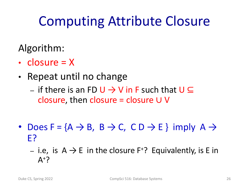# Computing Attribute Closure

Algorithm:

- closure  $= X$
- Repeat until no change
	- if there is an FD  $\cup \rightarrow \vee$  in F such that  $\cup \subseteq$ closure, then closure = closure  $∪$   $∨$
- Does  $F = \{A \rightarrow B, B \rightarrow C, C D \rightarrow E\}$  imply  $A \rightarrow$ E?
	- i.e, is  $A \rightarrow E$  in the closure  $F^2$ ? Equivalently, is E in  $A^+$ ?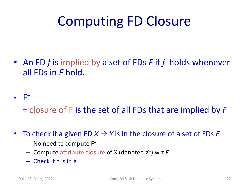# Computing FD Closure

- An FD *f* is implied by a set of FDs *F* if *f* holds whenever all FDs in *F* hold.
- $\bullet$   $F^+$ 
	- = closure of F is the set of all FDs that are implied by *F*
- To check if a given FD  $X \rightarrow Y$  is in the closure of a set of FDs F
	- No need to compute F+
	- Compute attribute closure of X (denoted X+) wrt *F:*
	- $-$  Check if Y is in  $X^+$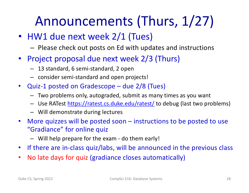# Announcements (Thurs, 1/27)

- HW1 due next week 2/1 (Tues)
	- Please check out posts on Ed with updates and instructions
- Project proposal due next week 2/3 (Thurs)
	- 13 standard, 6 semi-standard, 2 open
	- consider semi-standard and open projects!
- Quiz-1 posted on Gradescope due 2/8 (Tues)
	- Two problems only, autograded, submit as many times as you want
	- Use RATest [https://ratest.cs.duke.edu/ratest](https://ratest.cs.duke.edu/ratest/)/ to debug (last two problems)
	- Will demonstrate during lectures
- More quizzes will be posted soon instructions to be posted to use "Gradiance" for online quiz
	- Will help prepare for the exam do them early!
- If there are in-class quiz/labs, will be announced in the previous class
- No late days for quiz (gradiance closes automatically)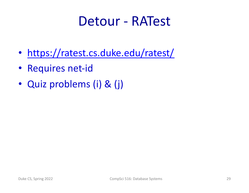#### Detour - RATest

- <https://ratest.cs.duke.edu/ratest/>
- Requires net-id
- Quiz problems (i) & (j)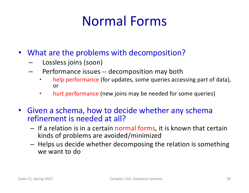# Normal Forms

- What are the problems with decomposition?
	- Lossless joins (soon)
	- Performance issues -- decomposition may both
		- help performance (for updates, some queries accessing part of data), or
		- hurt performance (new joins may be needed for some queries)
- Given a schema, how to decide whether any schema refinement is needed at all?
	- If a relation is in a certain normal forms, it is known that certain kinds of problems are avoided/minimized
	- Helps us decide whether decomposing the relation is something we want to do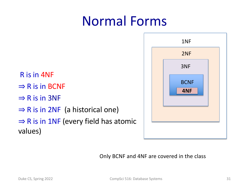# Normal Forms

R is in 4NF  $\Rightarrow$  R is in BCNF  $\Rightarrow$  R is in 3NF  $\Rightarrow$  R is in 2NF (a historical one)  $\Rightarrow$  R is in 1NF (every field has atomic values)



Only BCNF and 4NF are covered in the class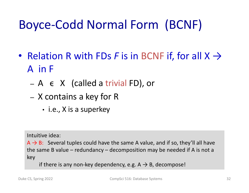### Boyce-Codd Normal Form (BCNF)

- Relation R with FDs *F* is in BCNF if, for all  $X \rightarrow$ A in F
	- $A \in X$  (called a trivial FD), or
	- X contains a key for R
		- i.e., X is a superkey

Intuitive idea:

 $A \rightarrow B$ : Several tuples could have the same A value, and if so, they'll all have the same B value – redundancy – decomposition may be needed if A is not a key

if there is any non-key dependency, e.g.  $A \rightarrow B$ , decompose!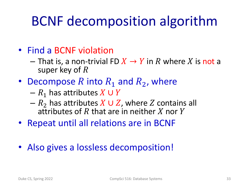# BCNF decomposition algorithm

- Find a BCNF violation
	- $-$  That is, a non-trivial FD  $X \to Y$  in R where X is not a super key of  $R$
- Decompose R into  $R_1$  and  $R_2$ , where
	- $R_1$  has attributes  $X \cup Y$
	- $-R<sub>2</sub>$  has attributes  $X \cup Z$ , where Z contains all attributes of R that are in neither X nor Y
- Repeat until all relations are in BCNF
- Also gives a lossless decomposition!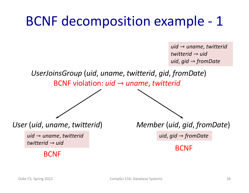# BCNF decomposition example - 1

*uid* → *uname*, *twitterid twitterid* → *uid uid*, *gid* → *fromDate*

*UserJoinsGroup* (*uid*, *uname*, *twitterid*, *gid*, *fromDate*)

BCNF violation: *uid* → *uname*, *twitterid*

*uid* → *uname*, *twitterid twitterid* → *uid*

BCNF

*User* (*uid*, *uname*, *twitterid*) *Member* (*uid*, *gid*, *fromDate*)

*uid*, *gid* → *fromDate*

BCNF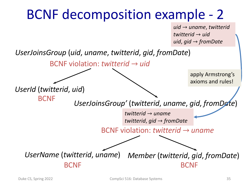# BCNF decomposition example - 2

*uid* → *uname*, *twitterid twitterid* → *uid uid*, *gid* → *fromDate*

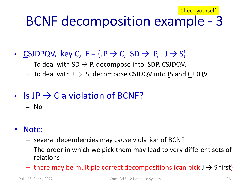#### BCNF decomposition example - 3 Check yourself

- CSJDPQV, key C,  $F = \{ JP \rightarrow C, SD \rightarrow P, J \rightarrow S\}$ 
	- To deal with SD  $\rightarrow$  P, decompose into SDP, CSJDQV.
	- $-$  To deal with  $J \rightarrow S$ , decompose CSJDQV into JS and CJDQV
- Is JP  $\rightarrow$  C a violation of BCNF?
	- No
- Note:
	- several dependencies may cause violation of BCNF
	- The order in which we pick them may lead to very different sets of relations
	- $-$  there may be multiple correct decompositions (can pick  $J \rightarrow S$  first)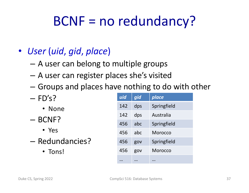# BCNF = no redundancy?

#### • *User* (*uid*, *gid*, *place*)

- A user can belong to multiple groups
- A user can register places she's visited
- Groups and places have nothing to do with other
- $-$  FD's?
	- None
- BCNF?
	- Yes
- Redundancies?
	- Tons!

| uid | gid | place          |
|-----|-----|----------------|
| 142 | dps | Springfield    |
| 142 | dps | Australia      |
| 456 | abc | Springfield    |
| 456 | abc | Morocco        |
| 456 | gov | Springfield    |
| 456 | gov | <b>Morocco</b> |
|     |     |                |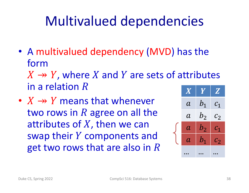# Multivalued dependencies

• A multivalued dependency (MVD) has the form

 $X \rightarrow Y$ , where X and Y are sets of attributes in a relation  $R$ 

•  $X \rightarrow Y$  means that whenever two rows in  $R$  agree on all the attributes of  $X$ , then we can swap their  $Y$  components and get two rows that are also in  $R$ 

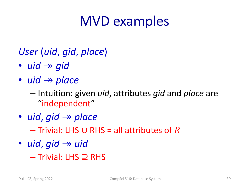## MVD examples

#### *User* (*uid*, *gid*, *place*)

- $uid \rightarrow gid$
- *uid*  $\rightarrow$  *place* 
	- Intuition: given *uid*, attributes *gid* and *place* are "independent"
- *uid*, *gid*  $\rightarrow$  *place* 
	- $-$  Trivial: LHS ∪ RHS = all attributes of R
- $uid$ ,  $gid \rightarrow$   $uid$ – Trivial: LHS ⊇ RHS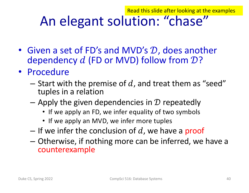Read this slide after looking at the examples

#### An elegant solution: "chase"

- Given a set of FD's and MVD's  $D$ , does another dependency  $d$  (FD or MVD) follow from  $\mathcal{D}$ ?
- Procedure
	- Start with the premise of d, and treat them as "seed" tuples in a relation
	- Apply the given dependencies in  $\mathcal D$  repeatedly
		- If we apply an FD, we infer equality of two symbols
		- If we apply an MVD, we infer more tuples
	- If we infer the conclusion of d, we have a proof
	- Otherwise, if nothing more can be inferred, we have a counterexample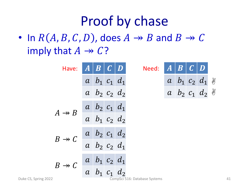#### Proof by chase

• In  $R(A, B, C, D)$ , does  $A \rightarrow B$  and  $B \rightarrow C$ imply that  $A \rightarrow C$ ?

| Have:                | $\boldsymbol{A}$ | B                                                                                             | $\bullet$ | Need:                         | $\boldsymbol{A}$ | $\overline{B}$ |                                       |  |
|----------------------|------------------|-----------------------------------------------------------------------------------------------|-----------|-------------------------------|------------------|----------------|---------------------------------------|--|
|                      |                  | $a \mid b_1 \mid c_1 \mid d_1$                                                                |           |                               |                  |                | $a \mid b_1 \mid c_2 \mid d_1 \mid \$ |  |
|                      |                  | $a \mid b_2 \mid c_2 \mid d_2$                                                                |           |                               |                  |                | $a \mid b_2 \mid c_1 \mid d_2 \mid$   |  |
| $A \rightarrow B$    |                  | $a \mid b_2 \mid c_1 \mid d_1$                                                                |           |                               |                  |                |                                       |  |
|                      |                  | $a \mid b_1 \mid c_2 \mid d_2$                                                                |           |                               |                  |                |                                       |  |
| $B \rightarrow C$    |                  |                                                                                               |           |                               |                  |                |                                       |  |
|                      |                  | $\begin{array}{ c c c } \hline a & b_2 & c_1 & d_2 \\ \hline a & b_2 & c_2 & d_1 \end{array}$ |           |                               |                  |                |                                       |  |
| $B \rightarrow C$    |                  | $a \mid b_1 \mid c_2 \mid d_1$                                                                |           |                               |                  |                |                                       |  |
| Duke CS, Spring 2022 |                  | $\begin{array}{ccc} a & b_1 & c_1 & d_2 \end{array}$                                          |           | CompSci 516: Database Systems |                  |                |                                       |  |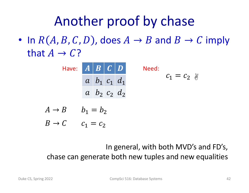# Another proof by chase

• In  $R(A, B, C, D)$ , does  $A \rightarrow B$  and  $B \rightarrow C$  imply that  $A \rightarrow C$ ?

> Have:  $\mid A\mid B\mid C\mid D\mid$  Need:  $a \mid b_1 \mid c_1 \mid d_1$  $a$   $b_2$   $c_2$   $d_2$  $c_1 = c_2$  &

$$
A \to B \qquad b_1 = b_2
$$

 $B \to C$   $c_1 = c_2$ 

In general, with both MVD's and FD's, chase can generate both new tuples and new equalities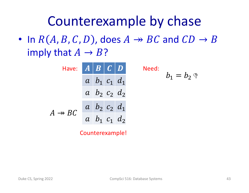#### Counterexample by chase

• In  $R(A, B, C, D)$ , does  $A \rightarrow BC$  and  $CD \rightarrow B$ imply that  $A \rightarrow B$ ?



Counterexample!

 $b_1 = b_2$  (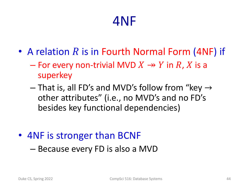#### 4NF

- A relation  $R$  is in Fourth Normal Form (4NF) if
	- For every non-trivial MVD  $X \rightarrow Y$  in R, X is a superkey
	- $-$  That is, all FD's and MVD's follow from "key  $\rightarrow$ other attributes" (i.e., no MVD's and no FD's besides key functional dependencies)
- 4NF is stronger than BCNF
	- Because every FD is also a MVD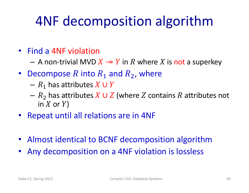# 4NF decomposition algorithm

- Find a 4NF violation
	- $-$  A non-trivial MVD  $X \rightarrow Y$  in R where X is not a superkey
- Decompose R into  $R_1$  and  $R_2$ , where
	- $R_1$  has attributes  $X \cup Y$
	- $R_2$  has attributes  $X \cup Z$  (where Z contains R attributes not in  $X$  or  $Y$ )
- Repeat until all relations are in 4NF
- Almost identical to BCNF decomposition algorithm
- Any decomposition on a 4NF violation is lossless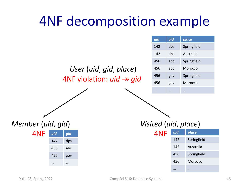### 4NF decomposition example

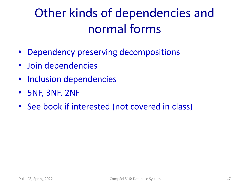### Other kinds of dependencies and normal forms

- Dependency preserving decompositions
- Join dependencies
- Inclusion dependencies
- 5NF, 3NF, 2NF
- See book if interested (not covered in class)